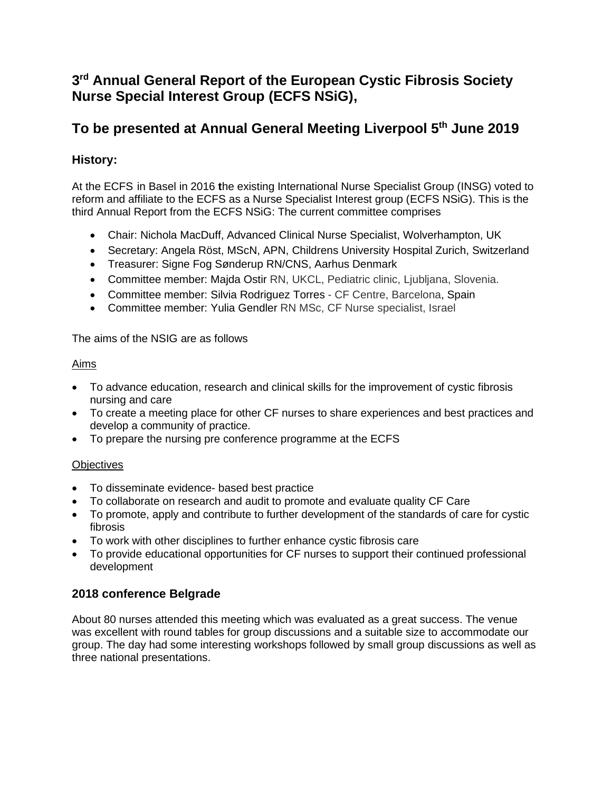# **3 rd Annual General Report of the European Cystic Fibrosis Society Nurse Special Interest Group (ECFS NSiG),**

# **To be presented at Annual General Meeting Liverpool 5th June 2019**

# **History:**

At the ECFS in Basel in 2016 **t**he existing International Nurse Specialist Group (INSG) voted to reform and affiliate to the ECFS as a Nurse Specialist Interest group (ECFS NSiG). This is the third Annual Report from the ECFS NSiG: The current committee comprises

- Chair: Nichola MacDuff, Advanced Clinical Nurse Specialist, Wolverhampton, UK
- Secretary: Angela Röst, MScN, APN, Childrens University Hospital Zurich, Switzerland
- Treasurer: Signe Fog Sønderup RN/CNS, Aarhus Denmark
- Committee member: Majda Ostir RN, UKCL, Pediatric clinic, Ljubljana, Slovenia.
- Committee member: Silvia Rodriguez Torres CF Centre, Barcelona, Spain
- Committee member: Yulia Gendler RN MSc, CF Nurse specialist, Israel

The aims of the NSIG are as follows

### Aims

- To advance education, research and clinical skills for the improvement of cystic fibrosis nursing and care
- To create a meeting place for other CF nurses to share experiences and best practices and develop a community of practice.
- To prepare the nursing pre conference programme at the ECFS

### **Objectives**

- To disseminate evidence- based best practice
- To collaborate on research and audit to promote and evaluate quality CF Care
- To promote, apply and contribute to further development of the standards of care for cystic fibrosis
- To work with other disciplines to further enhance cystic fibrosis care
- To provide educational opportunities for CF nurses to support their continued professional development

## **2018 conference Belgrade**

About 80 nurses attended this meeting which was evaluated as a great success. The venue was excellent with round tables for group discussions and a suitable size to accommodate our group. The day had some interesting workshops followed by small group discussions as well as three national presentations.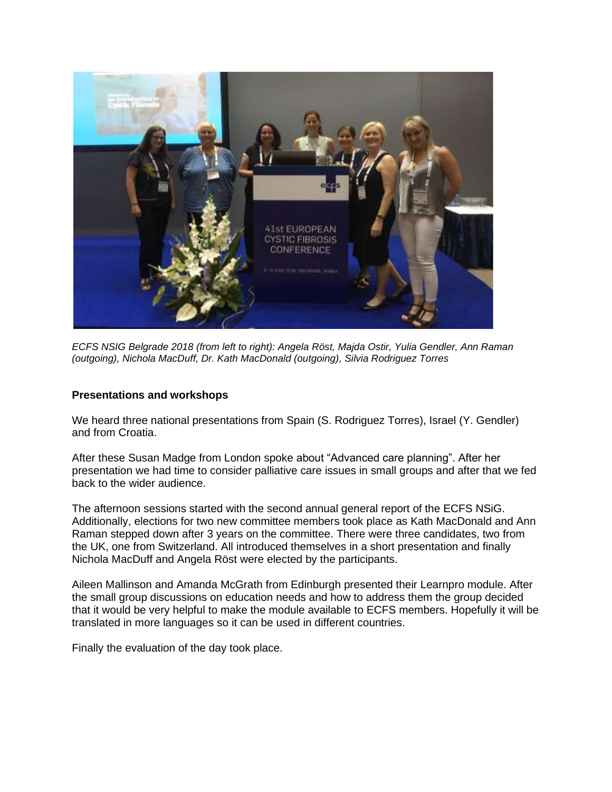

*ECFS NSIG Belgrade 2018 (from left to right): Angela Röst, Majda Ostir, Yulia Gendler, Ann Raman (outgoing), Nichola MacDuff, Dr. Kath MacDonald (outgoing), Silvia Rodriguez Torres* 

#### **Presentations and workshops**

We heard three national presentations from Spain (S. Rodriguez Torres), Israel (Y. Gendler) and from Croatia.

After these Susan Madge from London spoke about "Advanced care planning". After her presentation we had time to consider palliative care issues in small groups and after that we fed back to the wider audience.

The afternoon sessions started with the second annual general report of the ECFS NSiG. Additionally, elections for two new committee members took place as Kath MacDonald and Ann Raman stepped down after 3 years on the committee. There were three candidates, two from the UK, one from Switzerland. All introduced themselves in a short presentation and finally Nichola MacDuff and Angela Röst were elected by the participants.

Aileen Mallinson and Amanda McGrath from Edinburgh presented their Learnpro module. After the small group discussions on education needs and how to address them the group decided that it would be very helpful to make the module available to ECFS members. Hopefully it will be translated in more languages so it can be used in different countries.

Finally the evaluation of the day took place.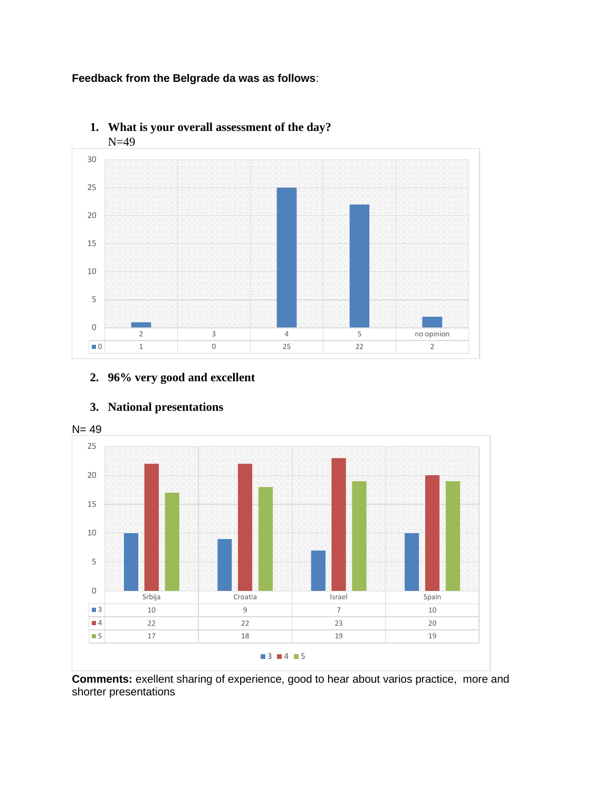### **Feedback from the Belgrade da was as follows**:



**1. What is your overall assessment of the day?** N=49

## **2. 96% very good and excellent**



#### **3. National presentations**

**Comments:** exellent sharing of experience, good to hear about varios practice, more and shorter presentations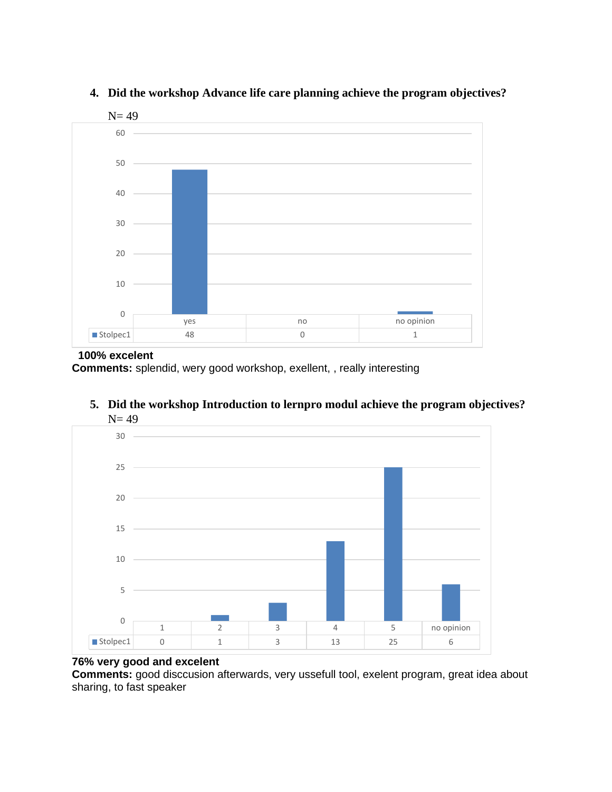

### **4. Did the workshop Advance life care planning achieve the program objectives?**

#### **100% excelent**

**Comments:** splendid, wery good workshop, exellent, , really interesting



**5. Did the workshop Introduction to lernpro modul achieve the program objectives?**  $N = 49$ 

# **76% very good and excelent**

**Comments:** good disccusion afterwards, very ussefull tool, exelent program, great idea about sharing, to fast speaker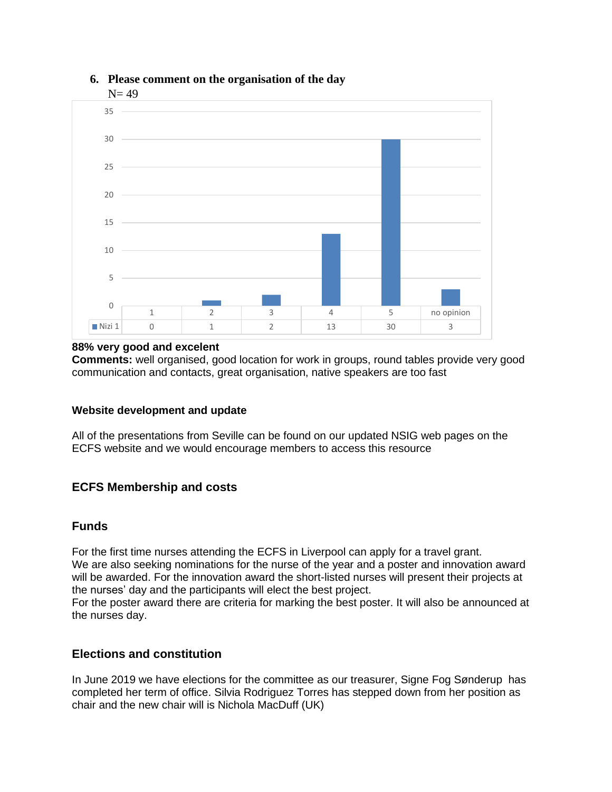

### **6. Please comment on the organisation of the day**

#### **88% very good and excelent**

**Comments:** well organised, good location for work in groups, round tables provide very good communication and contacts, great organisation, native speakers are too fast

### **Website development and update**

All of the presentations from Seville can be found on our updated NSIG web pages on the ECFS website and we would encourage members to access this resource

### **ECFS Membership and costs**

### **Funds**

For the first time nurses attending the ECFS in Liverpool can apply for a travel grant. We are also seeking nominations for the nurse of the year and a poster and innovation award will be awarded. For the innovation award the short-listed nurses will present their projects at the nurses' day and the participants will elect the best project.

For the poster award there are criteria for marking the best poster. It will also be announced at the nurses day.

### **Elections and constitution**

In June 2019 we have elections for the committee as our treasurer, Signe Fog Sønderup has completed her term of office. Silvia Rodriguez Torres has stepped down from her position as chair and the new chair will is Nichola MacDuff (UK)